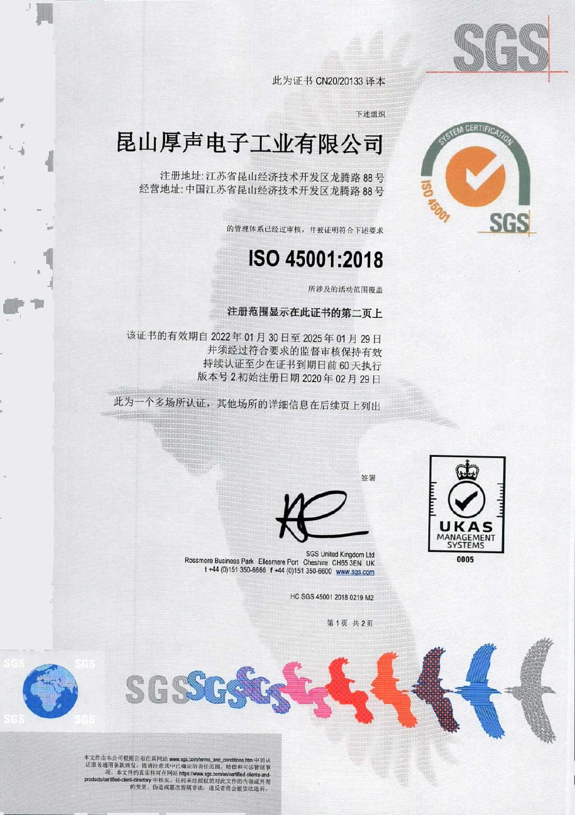

**A CERTIFI** 

此为证书 CN2O/20133 译本

下述组织

## 昆山厚声电子工业有限公司

注册地址: 江苏省昆山经济技术开发区龙腾路 88号 经营地址'中国江苏省昆山经济技术开发区龙腾路 88 号

的管理体系己经过审核,并被证明符合下述要求

## Iso 45001 :2018

所涉及的活动范围覆盖

注册范围显示在此证书的第二页上

该证书的有效期自 2022 年 01 月 30 日至 2025 年 01 月 29 日 并须经过符合要求的监督审核保持有效 持续认证至少在证书到期日前 60 天执行 版本号 2.初始注册日期 2020年02月29日

此为一个多场所认证,其他场所的详细信息在后续页上列出



0005

SGS United Kingdom Ltd<br>Rossmore Business Park Ellesmere Port Cheshire CH653EN UK t +44 (0)151 350-6666 f +44 (0)151 350-6600 www.sgs.com

HC SGS 45001 2018 0219 M2

第1页 共2页

签共



本文件由本公司根据公布在共网站 www.sgs.com/terms\_and\_conditions.htm 中的认 车文件由本公司根据公布在其阿法 www.sgs.com/terms\_and\_conditions.htm 中的认<br>证服务通用条款颁交 - 提请往意其中已确定的票任范围 - 赔偿和可法管制事<br>项. 项. 本文件的真实性可在网站 https://www.sqs.com/en/certified-dients.and. -I-中核实.任何未经授权的对此文件的内容或外观 的变吏,伪造或名改行属非法.违反者将会彼依法追 ,

SGS.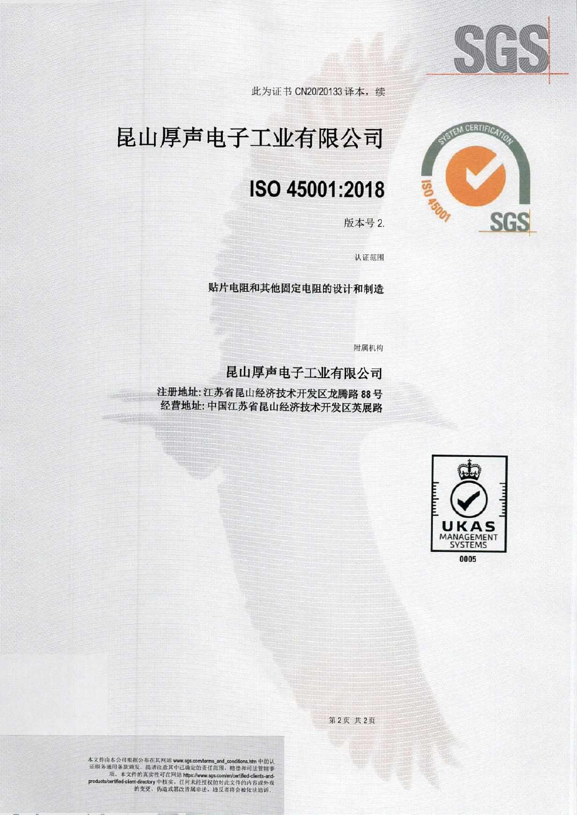

此为证书 CN20/20133 译本, 续

# 昆山厚声电子工业有限公司

## ISO 45001 :2018

版本号 2.



**BIEM CERTIFICAT** 

认证范围

贴片电阻和其他固定电阻的设计和制造

附属机构

昆山厚声电子工业有限公司

注册地址: 江苏省昆山经济技术开发区龙腾路 88号 经营地址:中国江苏省昆山经济技术开发区英展路



第2页 共2页

本文件由本公司根据公布在其网站 www.sgs.com/terms\_and\_conditions.htm 中的认<br>证服务通用条款预发。提请注意其中己确定的责任范围。赔偿和司法管辖事 r. 本文件的六实性可在网站娜到沪目..:勺"。!,,',治玄儿d心翻臼'.、' '甘砚劝拍之倒比'fiedcien(-dr.ct 丫中核实.住何未挂授权的对此文件的内弃或外观 的变史、伪选或解改竹城非法,还反者将会被依法迫诉.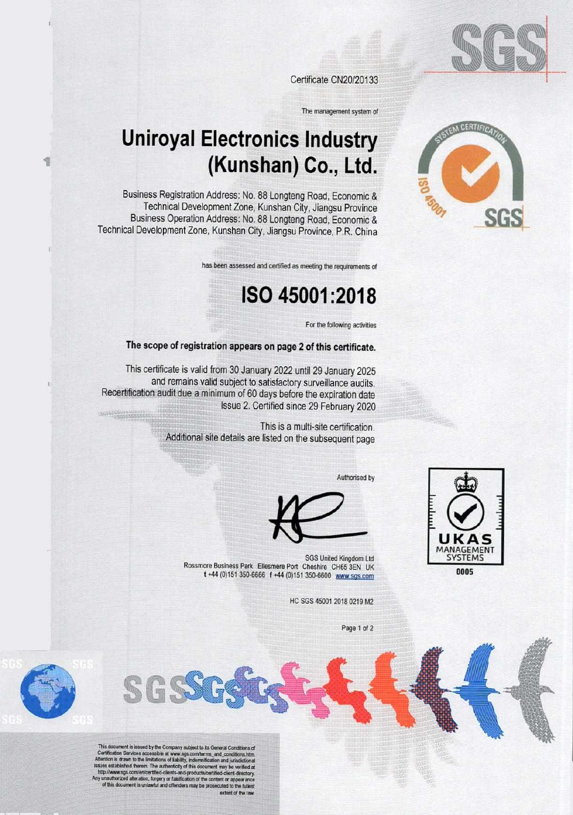

A CERTIFIC

Certificate CN20/20133

The management system of

## **Uniroyal Electronics Industry** (Kunshan) Co., Ltd.

Business Registration Address: No. 88 Longteng Road, Economic & Technical Development Zone, Kunshan City, Jiangsu Province Business Operation Address: No. 88 Longteng Road, Economic & Technical Development Zone, Kunshan City, Jiangsu Province, P.R. China

has been assessed and certified as meeting the requirements of

### ISO 45001:2018

For the following activities

#### The scope of registration appears on page 2 of this certificate.

This certificate is valid from 30 January 2022 until 29 January 2025 and remains valid subject to satisfactory surveillance audits. Recertification audit due a minimum of 60 days before the expiration date Issue 2. Certified since 29 February 2020

> This is a multi-site certification. Additional site details are listed on the subsequent page

> > Authorised by





SGS United Kingdom Ltd Rossmore Business Park Ellesmere Port Cheshire CH65 3EN UK t +44 (0)151 350-6666 f +44 (0)151 350-6600 www.sgs.com

HC SGS 45001 2018 0219 M2

Page 1 of 2

This document is insued by the Company subject to its General Conditions of<br>Certification Services accessible at www.sgs.com/terms\_and\_conditions.htm<br>Ittention is drawn to the limitations of Eability, indemnification and j es established therein. The authenticity of this document may be verified at<br>the www.sgs.com/en/certified-clients-and-products/certified-client-directory. suthorized alteration, forgery or faisification of the content or a<br>this document is unlawful and offenders may be prosecuted to of this document is unl extent of the law